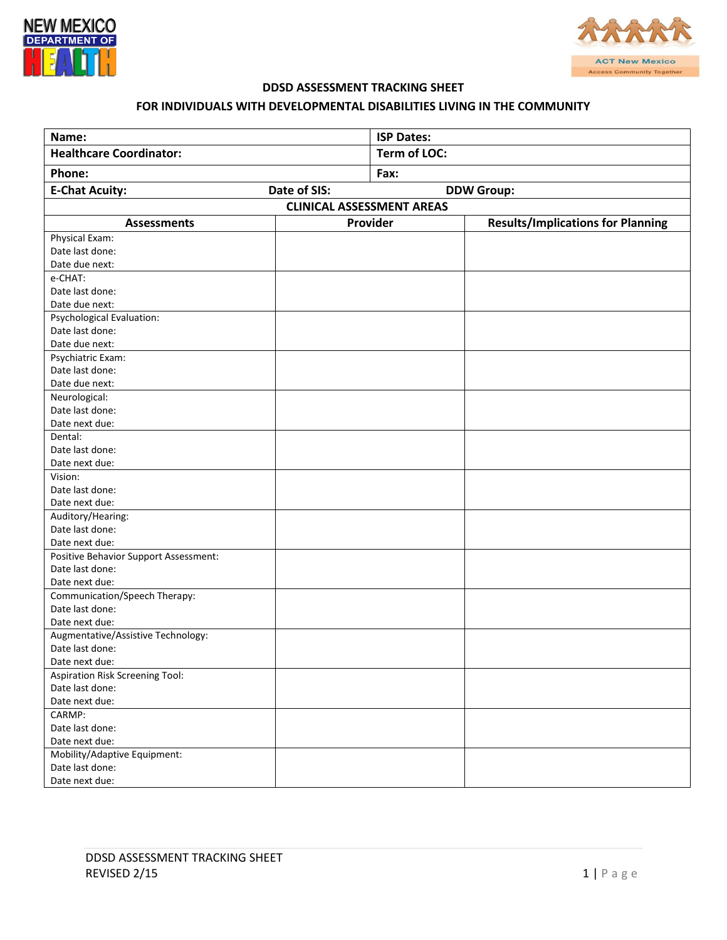



## **DDSD ASSESSMENT TRACKING SHEET**

## **FOR INDIVIDUALS WITH DEVELOPMENTAL DISABILITIES LIVING IN THE COMMUNITY**

| Name:                                 |  | <b>ISP Dates:</b>   |                                          |
|---------------------------------------|--|---------------------|------------------------------------------|
| <b>Healthcare Coordinator:</b>        |  | <b>Term of LOC:</b> |                                          |
| Phone:                                |  | Fax:                |                                          |
| Date of SIS:<br><b>E-Chat Acuity:</b> |  | <b>DDW Group:</b>   |                                          |
| <b>CLINICAL ASSESSMENT AREAS</b>      |  |                     |                                          |
| <b>Assessments</b>                    |  | Provider            | <b>Results/Implications for Planning</b> |
| Physical Exam:                        |  |                     |                                          |
| Date last done:                       |  |                     |                                          |
| Date due next:                        |  |                     |                                          |
| e-CHAT:                               |  |                     |                                          |
| Date last done:                       |  |                     |                                          |
| Date due next:                        |  |                     |                                          |
| Psychological Evaluation:             |  |                     |                                          |
| Date last done:                       |  |                     |                                          |
| Date due next:                        |  |                     |                                          |
| Psychiatric Exam:                     |  |                     |                                          |
| Date last done:                       |  |                     |                                          |
| Date due next:                        |  |                     |                                          |
| Neurological:                         |  |                     |                                          |
| Date last done:                       |  |                     |                                          |
| Date next due:                        |  |                     |                                          |
| Dental:                               |  |                     |                                          |
| Date last done:                       |  |                     |                                          |
| Date next due:                        |  |                     |                                          |
| Vision:                               |  |                     |                                          |
| Date last done:                       |  |                     |                                          |
| Date next due:                        |  |                     |                                          |
| Auditory/Hearing:                     |  |                     |                                          |
| Date last done:                       |  |                     |                                          |
| Date next due:                        |  |                     |                                          |
| Positive Behavior Support Assessment: |  |                     |                                          |
| Date last done:                       |  |                     |                                          |
| Date next due:                        |  |                     |                                          |
| Communication/Speech Therapy:         |  |                     |                                          |
| Date last done:                       |  |                     |                                          |
| Date next due:                        |  |                     |                                          |
| Augmentative/Assistive Technology:    |  |                     |                                          |
| Date last done:                       |  |                     |                                          |
| Date next due:                        |  |                     |                                          |
| Aspiration Risk Screening Tool:       |  |                     |                                          |
| Date last done:                       |  |                     |                                          |
| Date next due:                        |  |                     |                                          |
| CARMP:                                |  |                     |                                          |
| Date last done:                       |  |                     |                                          |
| Date next due:                        |  |                     |                                          |
| Mobility/Adaptive Equipment:          |  |                     |                                          |
| Date last done:                       |  |                     |                                          |
| Date next due:                        |  |                     |                                          |